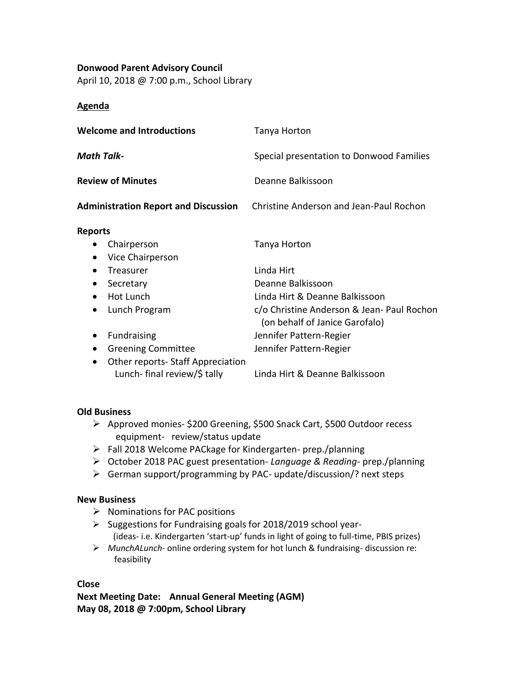# **Donwood Parent Advisory Council**

April 10, 2018 @ 7:00 p.m., School Library

### **Agenda**

| <b>Welcome and Introductions</b>                                                                                                                           | Tanya Horton                                                                                                                                      |
|------------------------------------------------------------------------------------------------------------------------------------------------------------|---------------------------------------------------------------------------------------------------------------------------------------------------|
| <b>Math Talk-</b>                                                                                                                                          | Special presentation to Donwood Families                                                                                                          |
| <b>Review of Minutes</b>                                                                                                                                   | Deanne Balkissoon                                                                                                                                 |
| <b>Administration Report and Discussion</b>                                                                                                                | Christine Anderson and Jean-Paul Rochon                                                                                                           |
| <b>Reports</b><br>Chairperson<br>Vice Chairperson<br>$\bullet$                                                                                             | Tanya Horton                                                                                                                                      |
| Treasurer<br>٠<br>Secretary<br>Hot Lunch<br>$\bullet$<br>Lunch Program<br>$\bullet$                                                                        | Linda Hirt<br>Deanne Balkissoon<br>Linda Hirt & Deanne Balkissoon<br>c/o Christine Anderson & Jean- Paul Rochon<br>(on behalf of Janice Garofalo) |
| <b>Fundraising</b><br>$\bullet$<br><b>Greening Committee</b><br>٠<br><b>Other reports- Staff Appreciation</b><br>$\bullet$<br>Lunch- final review/\$ tally | Jennifer Pattern-Regier<br>Jennifer Pattern-Regier<br>Linda Hirt & Deanne Balkissoon                                                              |

#### **Old Business**

- ➢ Approved monies- \$200 Greening, \$500 Snack Cart, \$500 Outdoor recess equipment- review/status update
- ➢ Fall 2018 Welcome PACkage for Kindergarten- prep./planning
- ➢ October 2018 PAC guest presentation- *Language & Reading* prep./planning
- ➢ German support/programming by PAC- update/discussion/? next steps

#### **New Business**

- ➢ Nominations for PAC positions
- ➢ Suggestions for Fundraising goals for 2018/2019 school year- (ideas- i.e. Kindergarten 'start-up' funds in light of going to full-time, PBIS prizes)
- ➢ *MunchALunch* online ordering system for hot lunch & fundraising- discussion re: feasibility

**Close**

**Next Meeting Date: Annual General Meeting (AGM) May 08, 2018 @ 7:00pm, School Library**